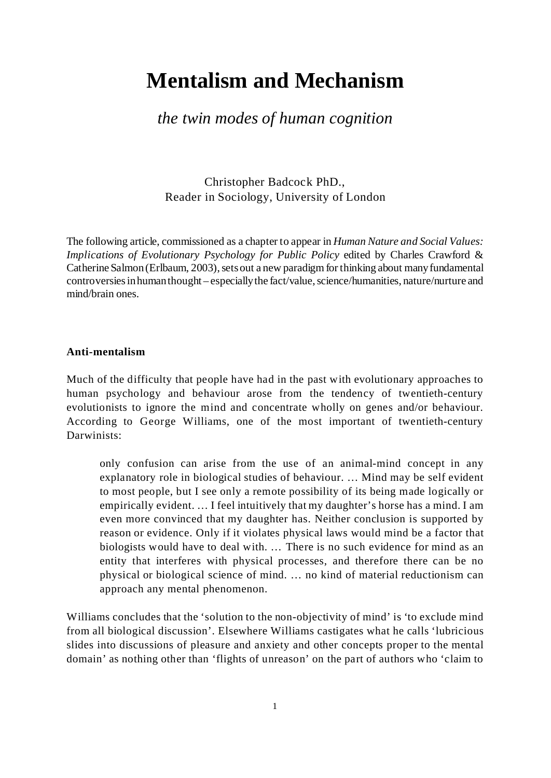# **Mentalism and Mechanism**

*the twin modes of human cognition*

Christopher Badcock PhD., Reader in Sociology, University of London

The following article, commissioned as a chapter to appear in *Human Nature and Social Values: Implications of Evolutionary Psychology for Public Policy edited by Charles Crawford &* Catherine Salmon (Erlbaum, 2003), sets out a new paradigm for thinking about many fundamental controversies in human thought – especially the fact/value, science/humanities, nature/nurture and mind/brain ones.

# **Anti-mentalism**

Much of the difficulty that people have had in the past with evolutionary approaches to human psychology and behaviour arose from the tendency of twentieth-century evolutionists to ignore the mind and concentrate wholly on genes and/or behaviour. According to George Williams, one of the most important of twentieth-century Darwinists:

only confusion can arise from the use of an animal-mind concept in any explanatory role in biological studies of behaviour. … Mind may be self evident to most people, but I see only a remote possibility of its being made logically or empirically evident. … I feel intuitively that my daughter's horse has a mind. I am even more convinced that my daughter has. Neither conclusion is supported by reason or evidence. Only if it violates physical laws would mind be a factor that biologists would have to deal with. … There is no such evidence for mind as an entity that interferes with physical processes, and therefore there can be no physical or biological science of mind. … no kind of material reductionism can approach any mental phenomenon.

Williams concludes that the 'solution to the non-objectivity of mind' is 'to exclude mind from all biological discussion'. Elsewhere Williams castigates what he calls 'lubricious slides into discussions of pleasure and anxiety and other concepts proper to the mental domain' as nothing other than 'flights of unreason' on the part of authors who 'claim to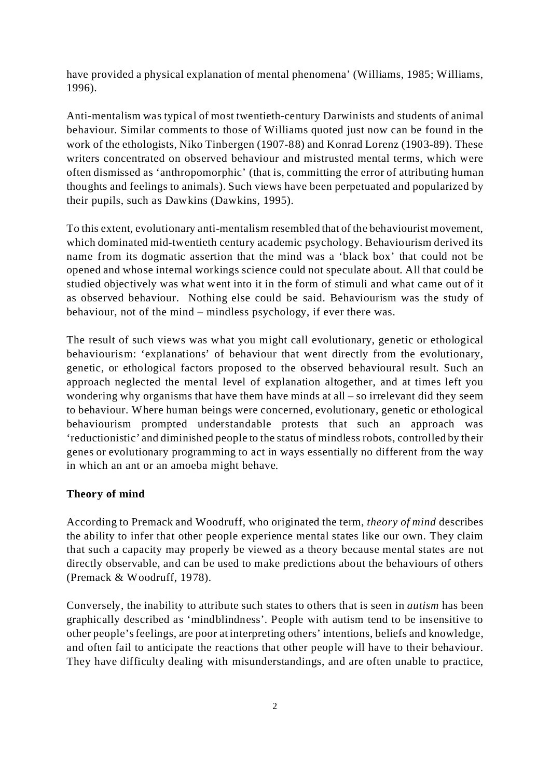have provided a physical explanation of mental phenomena' (Williams, 1985; Williams, 1996).

Anti-mentalism was typical of most twentieth-century Darwinists and students of animal behaviour. Similar comments to those of Williams quoted just now can be found in the work of the ethologists, Niko Tinbergen (1907-88) and Konrad Lorenz (1903-89). These writers concentrated on observed behaviour and mistrusted mental terms, which were often dismissed as 'anthropomorphic' (that is, committing the error of attributing human thoughts and feelings to animals). Such views have been perpetuated and popularized by their pupils, such as Dawkins (Dawkins, 1995).

To this extent, evolutionary anti-mentalism resembled that of the behaviourist movement, which dominated mid-twentieth century academic psychology. Behaviourism derived its name from its dogmatic assertion that the mind was a 'black box' that could not be opened and whose internal workings science could not speculate about. All that could be studied objectively was what went into it in the form of stimuli and what came out of it as observed behaviour. Nothing else could be said. Behaviourism was the study of behaviour, not of the mind – mindless psychology, if ever there was.

The result of such views was what you might call evolutionary, genetic or ethological behaviourism: 'explanations' of behaviour that went directly from the evolutionary, genetic, or ethological factors proposed to the observed behavioural result. Such an approach neglected the mental level of explanation altogether, and at times left you wondering why organisms that have them have minds at all – so irrelevant did they seem to behaviour. Where human beings were concerned, evolutionary, genetic or ethological behaviourism prompted understandable protests that such an approach was 'reductionistic' and diminished people to the status of mindless robots, controlled by their genes or evolutionary programming to act in ways essentially no different from the way in which an ant or an amoeba might behave.

# **Theory of mind**

According to Premack and Woodruff, who originated the term, *theory of mind* describes the ability to infer that other people experience mental states like our own. They claim that such a capacity may properly be viewed as a theory because mental states are not directly observable, and can be used to make predictions about the behaviours of others (Premack & Woodruff, 1978).

Conversely, the inability to attribute such states to others that is seen in *autism* has been graphically described as 'mindblindness'. People with autism tend to be insensitive to other people's feelings, are poor at interpreting others' intentions, beliefs and knowledge, and often fail to anticipate the reactions that other people will have to their behaviour. They have difficulty dealing with misunderstandings, and are often unable to practice,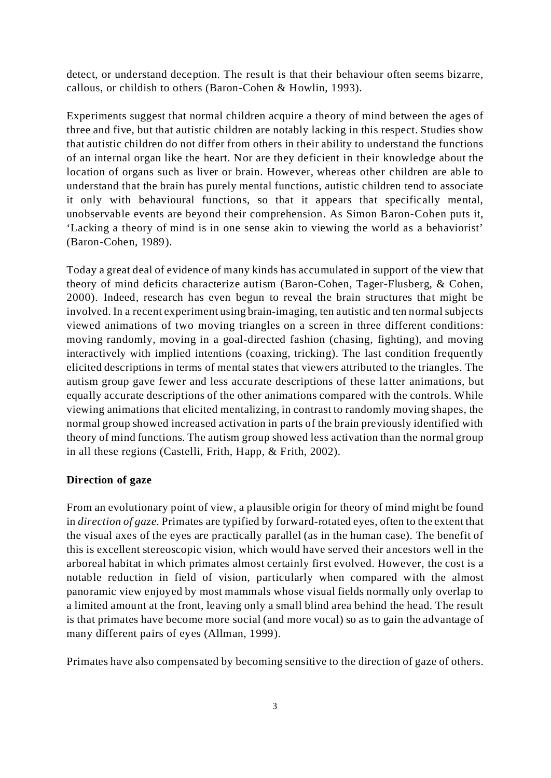detect, or understand deception. The result is that their behaviour often seems bizarre, callous, or childish to others (Baron-Cohen & Howlin, 1993).

Experiments suggest that normal children acquire a theory of mind between the ages of three and five, but that autistic children are notably lacking in this respect. Studies show that autistic children do not differ from others in their ability to understand the functions of an internal organ like the heart. Nor are they deficient in their knowledge about the location of organs such as liver or brain. However, whereas other children are able to understand that the brain has purely mental functions, autistic children tend to associate it only with behavioural functions, so that it appears that specifically mental, unobservable events are beyond their comprehension. As Simon Baron-Cohen puts it, 'Lacking a theory of mind is in one sense akin to viewing the world as a behaviorist' (Baron-Cohen, 1989).

Today a great deal of evidence of many kinds has accumulated in support of the view that theory of mind deficits characterize autism (Baron-Cohen, Tager-Flusberg, & Cohen, 2000). Indeed, research has even begun to reveal the brain structures that might be involved. In a recent experiment using brain-imaging, ten autistic and ten normal subjects viewed animations of two moving triangles on a screen in three different conditions: moving randomly, moving in a goal-directed fashion (chasing, fighting), and moving interactively with implied intentions (coaxing, tricking). The last condition frequently elicited descriptions in terms of mental states that viewers attributed to the triangles. The autism group gave fewer and less accurate descriptions of these latter animations, but equally accurate descriptions of the other animations compared with the controls. While viewing animations that elicited mentalizing, in contrast to randomly moving shapes, the normal group showed increased activation in parts of the brain previously identified with theory of mind functions. The autism group showed less activation than the normal group in all these regions (Castelli, Frith, Happ, & Frith, 2002).

## **Direction of gaze**

From an evolutionary point of view, a plausible origin for theory of mind might be found in *direction of gaze*. Primates are typified by forward-rotated eyes, often to the extent that the visual axes of the eyes are practically parallel (as in the human case). The benefit of this is excellent stereoscopic vision, which would have served their ancestors well in the arboreal habitat in which primates almost certainly first evolved. However, the cost is a notable reduction in field of vision, particularly when compared with the almost panoramic view enjoyed by most mammals whose visual fields normally only overlap to a limited amount at the front, leaving only a small blind area behind the head. The result is that primates have become more social (and more vocal) so as to gain the advantage of many different pairs of eyes (Allman, 1999).

Primates have also compensated by becoming sensitive to the direction of gaze of others.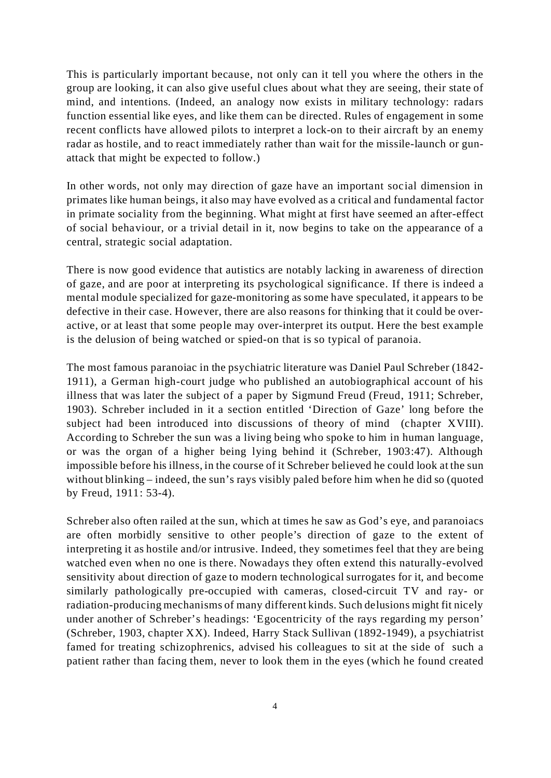This is particularly important because, not only can it tell you where the others in the group are looking, it can also give useful clues about what they are seeing, their state of mind, and intentions. (Indeed, an analogy now exists in military technology: radars function essential like eyes, and like them can be directed. Rules of engagement in some recent conflicts have allowed pilots to interpret a lock-on to their aircraft by an enemy radar as hostile, and to react immediately rather than wait for the missile-launch or gunattack that might be expected to follow.)

In other words, not only may direction of gaze have an important social dimension in primates like human beings, it also may have evolved as a critical and fundamental factor in primate sociality from the beginning. What might at first have seemed an after-effect of social behaviour, or a trivial detail in it, now begins to take on the appearance of a central, strategic social adaptation.

There is now good evidence that autistics are notably lacking in awareness of direction of gaze, and are poor at interpreting its psychological significance. If there is indeed a mental module specialized for gaze-monitoring as some have speculated, it appears to be defective in their case. However, there are also reasons for thinking that it could be overactive, or at least that some people may over-interpret its output. Here the best example is the delusion of being watched or spied-on that is so typical of paranoia.

The most famous paranoiac in the psychiatric literature was Daniel Paul Schreber (1842- 1911), a German high-court judge who published an autobiographical account of his illness that was later the subject of a paper by Sigmund Freud (Freud, 1911; Schreber, 1903). Schreber included in it a section entitled 'Direction of Gaze' long before the subject had been introduced into discussions of theory of mind (chapter XVIII). According to Schreber the sun was a living being who spoke to him in human language, or was the organ of a higher being lying behind it (Schreber, 1903:47). Although impossible before his illness, in the course of it Schreber believed he could look at the sun without blinking – indeed, the sun's rays visibly paled before him when he did so (quoted by Freud, 1911: 53-4).

Schreber also often railed at the sun, which at times he saw as God's eye, and paranoiacs are often morbidly sensitive to other people's direction of gaze to the extent of interpreting it as hostile and/or intrusive. Indeed, they sometimes feel that they are being watched even when no one is there. Nowadays they often extend this naturally-evolved sensitivity about direction of gaze to modern technological surrogates for it, and become similarly pathologically pre-occupied with cameras, closed-circuit TV and ray- or radiation-producing mechanisms of many different kinds. Such delusions might fit nicely under another of Schreber's headings: 'Egocentricity of the rays regarding my person' (Schreber, 1903, chapter XX). Indeed, Harry Stack Sullivan (1892-1949), a psychiatrist famed for treating schizophrenics, advised his colleagues to sit at the side of such a patient rather than facing them, never to look them in the eyes (which he found created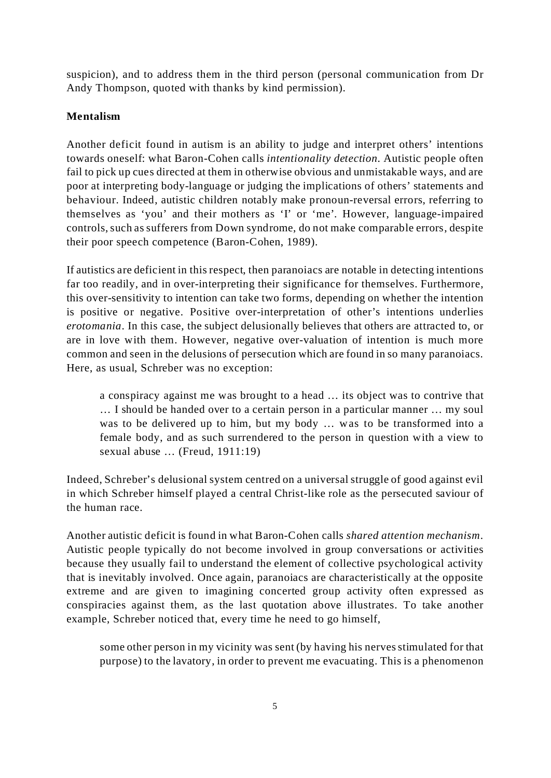suspicion), and to address them in the third person (personal communication from Dr Andy Thompson, quoted with thanks by kind permission).

# **Mentalism**

Another deficit found in autism is an ability to judge and interpret others' intentions towards oneself: what Baron-Cohen calls *intentionality detection*. Autistic people often fail to pick up cues directed at them in otherwise obvious and unmistakable ways, and are poor at interpreting body-language or judging the implications of others' statements and behaviour. Indeed, autistic children notably make pronoun-reversal errors, referring to themselves as 'you' and their mothers as 'I' or 'me'. However, language-impaired controls, such as sufferers from Down syndrome, do not make comparable errors, despite their poor speech competence (Baron-Cohen, 1989).

If autistics are deficient in this respect, then paranoiacs are notable in detecting intentions far too readily, and in over-interpreting their significance for themselves. Furthermore, this over-sensitivity to intention can take two forms, depending on whether the intention is positive or negative. Positive over-interpretation of other's intentions underlies *erotomania*. In this case, the subject delusionally believes that others are attracted to, or are in love with them. However, negative over-valuation of intention is much more common and seen in the delusions of persecution which are found in so many paranoiacs. Here, as usual, Schreber was no exception:

a conspiracy against me was brought to a head … its object was to contrive that … I should be handed over to a certain person in a particular manner … my soul was to be delivered up to him, but my body … was to be transformed into a female body, and as such surrendered to the person in question with a view to sexual abuse … (Freud, 1911:19)

Indeed, Schreber's delusional system centred on a universal struggle of good against evil in which Schreber himself played a central Christ-like role as the persecuted saviour of the human race.

Another autistic deficit is found in what Baron-Cohen calls *shared attention mechanism*. Autistic people typically do not become involved in group conversations or activities because they usually fail to understand the element of collective psychological activity that is inevitably involved. Once again, paranoiacs are characteristically at the opposite extreme and are given to imagining concerted group activity often expressed as conspiracies against them, as the last quotation above illustrates. To take another example, Schreber noticed that, every time he need to go himself,

some other person in my vicinity was sent (by having his nerves stimulated for that purpose) to the lavatory, in order to prevent me evacuating. This is a phenomenon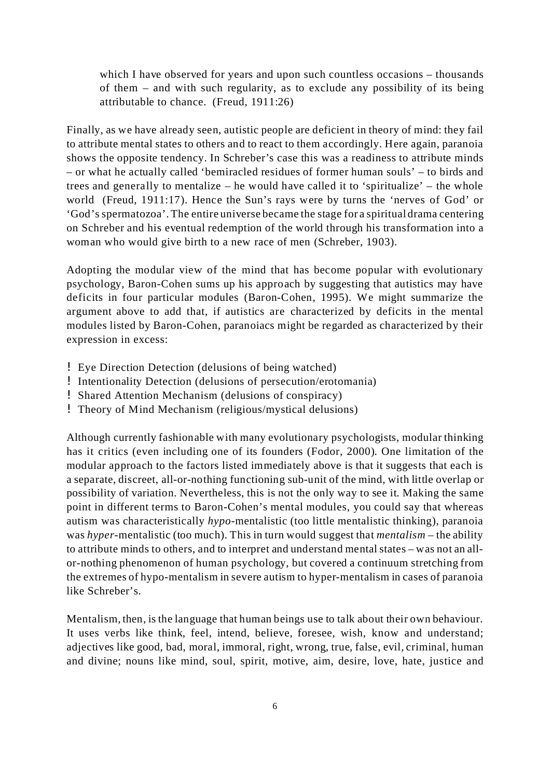which I have observed for years and upon such countless occasions – thousands of them – and with such regularity, as to exclude any possibility of its being attributable to chance. (Freud, 1911:26)

Finally, as we have already seen, autistic people are deficient in theory of mind: they fail to attribute mental states to others and to react to them accordingly. Here again, paranoia shows the opposite tendency. In Schreber's case this was a readiness to attribute minds – or what he actually called 'bemiracled residues of former human souls' – to birds and trees and generally to mentalize – he would have called it to 'spiritualize' – the whole world (Freud, 1911:17). Hence the Sun's rays were by turns the 'nerves of God' or 'God's spermatozoa'. The entire universe became the stage for a spiritual drama centering on Schreber and his eventual redemption of the world through his transformation into a woman who would give birth to a new race of men (Schreber, 1903).

Adopting the modular view of the mind that has become popular with evolutionary psychology, Baron-Cohen sums up his approach by suggesting that autistics may have deficits in four particular modules (Baron-Cohen, 1995). We might summarize the argument above to add that, if autistics are characterized by deficits in the mental modules listed by Baron-Cohen, paranoiacs might be regarded as characterized by their expression in excess:

- ! Eye Direction Detection (delusions of being watched)
- ! Intentionality Detection (delusions of persecution/erotomania)
- ! Shared Attention Mechanism (delusions of conspiracy)
- ! Theory of Mind Mechanism (religious/mystical delusions)

Although currently fashionable with many evolutionary psychologists, modular thinking has it critics (even including one of its founders (Fodor, 2000). One limitation of the modular approach to the factors listed immediately above is that it suggests that each is a separate, discreet, all-or-nothing functioning sub-unit of the mind, with little overlap or possibility of variation. Nevertheless, this is not the only way to see it. Making the same point in different terms to Baron-Cohen's mental modules, you could say that whereas autism was characteristically *hypo*-mentalistic (too little mentalistic thinking), paranoia was *hyper*-mentalistic (too much). This in turn would suggest that *mentalism* – the ability to attribute minds to others, and to interpret and understand mental states – was not an allor-nothing phenomenon of human psychology, but covered a continuum stretching from the extremes of hypo-mentalism in severe autism to hyper-mentalism in cases of paranoia like Schreber's.

Mentalism, then, is the language that human beings use to talk about their own behaviour. It uses verbs like think, feel, intend, believe, foresee, wish, know and understand; adjectives like good, bad, moral, immoral, right, wrong, true, false, evil, criminal, human and divine; nouns like mind, soul, spirit, motive, aim, desire, love, hate, justice and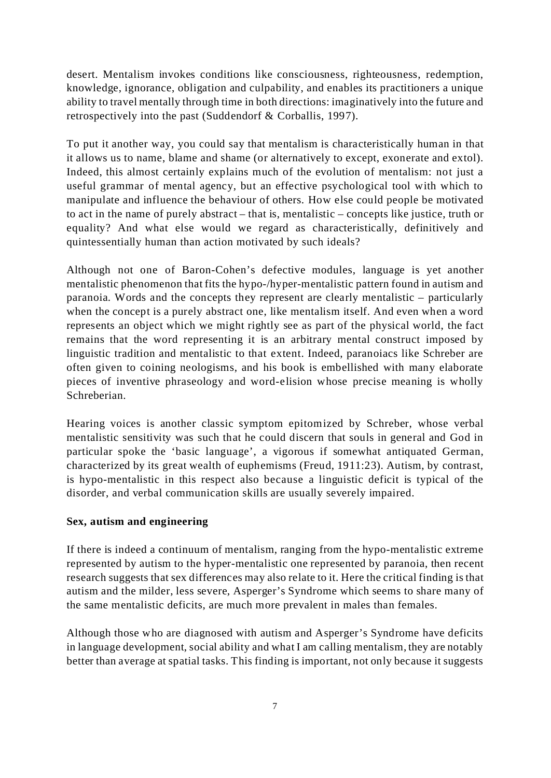desert. Mentalism invokes conditions like consciousness, righteousness, redemption, knowledge, ignorance, obligation and culpability, and enables its practitioners a unique ability to travel mentally through time in both directions: imaginatively into the future and retrospectively into the past (Suddendorf & Corballis, 1997).

To put it another way, you could say that mentalism is characteristically human in that it allows us to name, blame and shame (or alternatively to except, exonerate and extol). Indeed, this almost certainly explains much of the evolution of mentalism: not just a useful grammar of mental agency, but an effective psychological tool with which to manipulate and influence the behaviour of others. How else could people be motivated to act in the name of purely abstract – that is, mentalistic – concepts like justice, truth or equality? And what else would we regard as characteristically, definitively and quintessentially human than action motivated by such ideals?

Although not one of Baron-Cohen's defective modules, language is yet another mentalistic phenomenon that fits the hypo-/hyper-mentalistic pattern found in autism and paranoia. Words and the concepts they represent are clearly mentalistic – particularly when the concept is a purely abstract one, like mentalism itself. And even when a word represents an object which we might rightly see as part of the physical world, the fact remains that the word representing it is an arbitrary mental construct imposed by linguistic tradition and mentalistic to that extent. Indeed, paranoiacs like Schreber are often given to coining neologisms, and his book is embellished with many elaborate pieces of inventive phraseology and word-elision whose precise meaning is wholly Schreberian.

Hearing voices is another classic symptom epitomized by Schreber, whose verbal mentalistic sensitivity was such that he could discern that souls in general and God in particular spoke the 'basic language', a vigorous if somewhat antiquated German, characterized by its great wealth of euphemisms (Freud, 1911:23). Autism, by contrast, is hypo-mentalistic in this respect also because a linguistic deficit is typical of the disorder, and verbal communication skills are usually severely impaired.

## **Sex, autism and engineering**

If there is indeed a continuum of mentalism, ranging from the hypo-mentalistic extreme represented by autism to the hyper-mentalistic one represented by paranoia, then recent research suggests that sex differences may also relate to it. Here the critical finding is that autism and the milder, less severe, Asperger's Syndrome which seems to share many of the same mentalistic deficits, are much more prevalent in males than females.

Although those who are diagnosed with autism and Asperger's Syndrome have deficits in language development, social ability and what I am calling mentalism, they are notably better than average at spatial tasks. This finding is important, not only because it suggests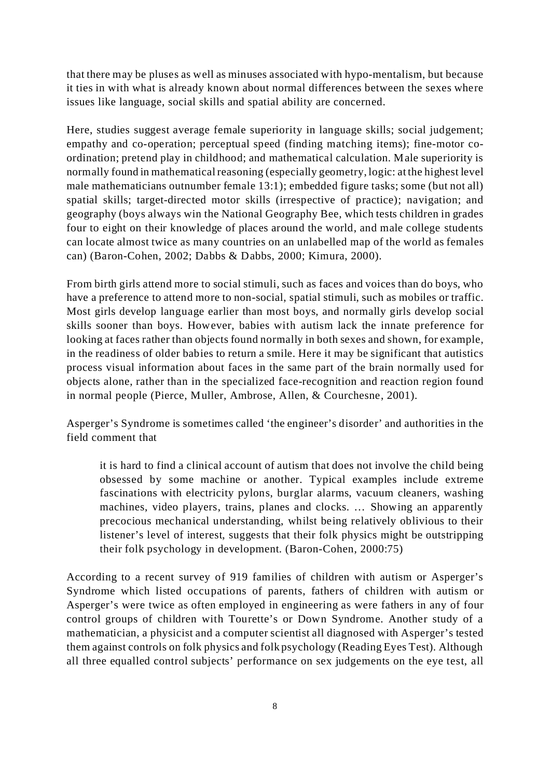that there may be pluses as well as minuses associated with hypo-mentalism, but because it ties in with what is already known about normal differences between the sexes where issues like language, social skills and spatial ability are concerned.

Here, studies suggest average female superiority in language skills; social judgement; empathy and co-operation; perceptual speed (finding matching items); fine-motor coordination; pretend play in childhood; and mathematical calculation. Male superiority is normally found in mathematical reasoning (especially geometry, logic: at the highest level male mathematicians outnumber female 13:1); embedded figure tasks; some (but not all) spatial skills; target-directed motor skills (irrespective of practice); navigation; and geography (boys always win the National Geography Bee, which tests children in grades four to eight on their knowledge of places around the world, and male college students can locate almost twice as many countries on an unlabelled map of the world as females can) (Baron-Cohen, 2002; Dabbs & Dabbs, 2000; Kimura, 2000).

From birth girls attend more to social stimuli, such as faces and voices than do boys, who have a preference to attend more to non-social, spatial stimuli, such as mobiles or traffic. Most girls develop language earlier than most boys, and normally girls develop social skills sooner than boys. However, babies with autism lack the innate preference for looking at faces rather than objects found normally in both sexes and shown, for example, in the readiness of older babies to return a smile. Here it may be significant that autistics process visual information about faces in the same part of the brain normally used for objects alone, rather than in the specialized face-recognition and reaction region found in normal people (Pierce, Muller, Ambrose, Allen, & Courchesne, 2001).

Asperger's Syndrome is sometimes called 'the engineer's disorder' and authorities in the field comment that

it is hard to find a clinical account of autism that does not involve the child being obsessed by some machine or another. Typical examples include extreme fascinations with electricity pylons, burglar alarms, vacuum cleaners, washing machines, video players, trains, planes and clocks. … Showing an apparently precocious mechanical understanding, whilst being relatively oblivious to their listener's level of interest, suggests that their folk physics might be outstripping their folk psychology in development. (Baron-Cohen, 2000:75)

According to a recent survey of 919 families of children with autism or Asperger's Syndrome which listed occupations of parents, fathers of children with autism or Asperger's were twice as often employed in engineering as were fathers in any of four control groups of children with Tourette's or Down Syndrome. Another study of a mathematician, a physicist and a computer scientist all diagnosed with Asperger's tested them against controls on folk physics and folk psychology (Reading Eyes Test). Although all three equalled control subjects' performance on sex judgements on the eye test, all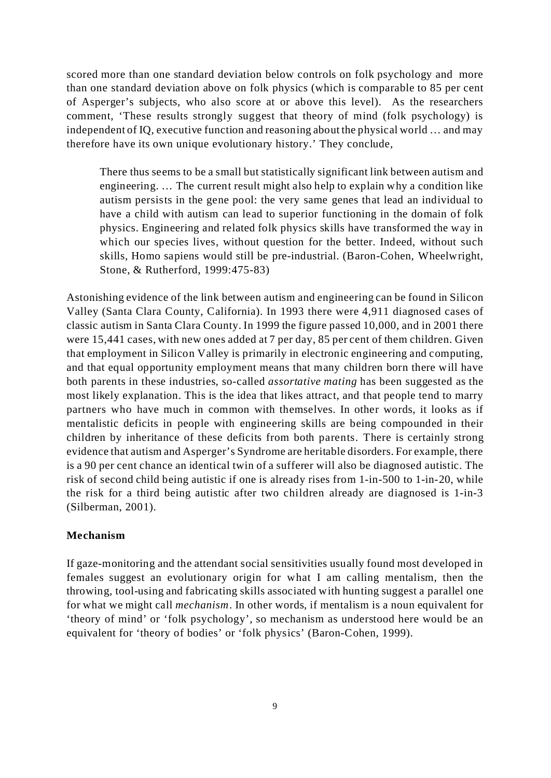scored more than one standard deviation below controls on folk psychology and more than one standard deviation above on folk physics (which is comparable to 85 per cent of Asperger's subjects, who also score at or above this level). As the researchers comment, 'These results strongly suggest that theory of mind (folk psychology) is independent of IQ, executive function and reasoning about the physical world … and may therefore have its own unique evolutionary history.' They conclude,

There thus seems to be a small but statistically significant link between autism and engineering. … The current result might also help to explain why a condition like autism persists in the gene pool: the very same genes that lead an individual to have a child with autism can lead to superior functioning in the domain of folk physics. Engineering and related folk physics skills have transformed the way in which our species lives, without question for the better. Indeed, without such skills, Homo sapiens would still be pre-industrial. (Baron-Cohen, Wheelwright, Stone, & Rutherford, 1999:475-83)

Astonishing evidence of the link between autism and engineering can be found in Silicon Valley (Santa Clara County, California). In 1993 there were 4,911 diagnosed cases of classic autism in Santa Clara County. In 1999 the figure passed 10,000, and in 2001 there were 15,441 cases, with new ones added at 7 per day, 85 per cent of them children. Given that employment in Silicon Valley is primarily in electronic engineering and computing, and that equal opportunity employment means that many children born there will have both parents in these industries, so-called *assortative mating* has been suggested as the most likely explanation. This is the idea that likes attract, and that people tend to marry partners who have much in common with themselves. In other words, it looks as if mentalistic deficits in people with engineering skills are being compounded in their children by inheritance of these deficits from both parents. There is certainly strong evidence that autism and Asperger's Syndrome are heritable disorders. For example, there is a 90 per cent chance an identical twin of a sufferer will also be diagnosed autistic. The risk of second child being autistic if one is already rises from 1-in-500 to 1-in-20, while the risk for a third being autistic after two children already are diagnosed is 1-in-3 (Silberman, 2001).

# **Mechanism**

If gaze-monitoring and the attendant social sensitivities usually found most developed in females suggest an evolutionary origin for what I am calling mentalism, then the throwing, tool-using and fabricating skills associated with hunting suggest a parallel one for what we might call *mechanism*. In other words, if mentalism is a noun equivalent for 'theory of mind' or 'folk psychology', so mechanism as understood here would be an equivalent for 'theory of bodies' or 'folk physics' (Baron-Cohen, 1999).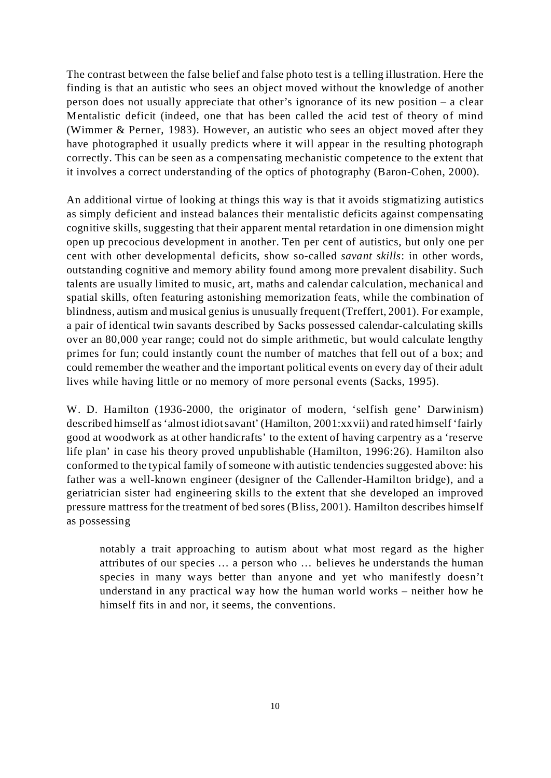The contrast between the false belief and false photo test is a telling illustration. Here the finding is that an autistic who sees an object moved without the knowledge of another person does not usually appreciate that other's ignorance of its new position – a clear Mentalistic deficit (indeed, one that has been called the acid test of theory of mind (Wimmer & Perner, 1983). However, an autistic who sees an object moved after they have photographed it usually predicts where it will appear in the resulting photograph correctly. This can be seen as a compensating mechanistic competence to the extent that it involves a correct understanding of the optics of photography (Baron-Cohen, 2000).

An additional virtue of looking at things this way is that it avoids stigmatizing autistics as simply deficient and instead balances their mentalistic deficits against compensating cognitive skills, suggesting that their apparent mental retardation in one dimension might open up precocious development in another. Ten per cent of autistics, but only one per cent with other developmental deficits, show so-called *savant skills*: in other words, outstanding cognitive and memory ability found among more prevalent disability. Such talents are usually limited to music, art, maths and calendar calculation, mechanical and spatial skills, often featuring astonishing memorization feats, while the combination of blindness, autism and musical genius is unusually frequent (Treffert, 2001). For example, a pair of identical twin savants described by Sacks possessed calendar-calculating skills over an 80,000 year range; could not do simple arithmetic, but would calculate lengthy primes for fun; could instantly count the number of matches that fell out of a box; and could remember the weather and the important political events on every day of their adult lives while having little or no memory of more personal events (Sacks, 1995).

W. D. Hamilton (1936-2000, the originator of modern, 'selfish gene' Darwinism) described himself as 'almost idiot savant' (Hamilton, 2001:xxvii) and rated himself 'fairly good at woodwork as at other handicrafts' to the extent of having carpentry as a 'reserve life plan' in case his theory proved unpublishable (Hamilton, 1996:26). Hamilton also conformed to the typical family of someone with autistic tendencies suggested above: his father was a well-known engineer (designer of the Callender-Hamilton bridge), and a geriatrician sister had engineering skills to the extent that she developed an improved pressure mattress for the treatment of bed sores (Bliss, 2001). Hamilton describes himself as possessing

notably a trait approaching to autism about what most regard as the higher attributes of our species … a person who … believes he understands the human species in many ways better than anyone and yet who manifestly doesn't understand in any practical way how the human world works – neither how he himself fits in and nor, it seems, the conventions.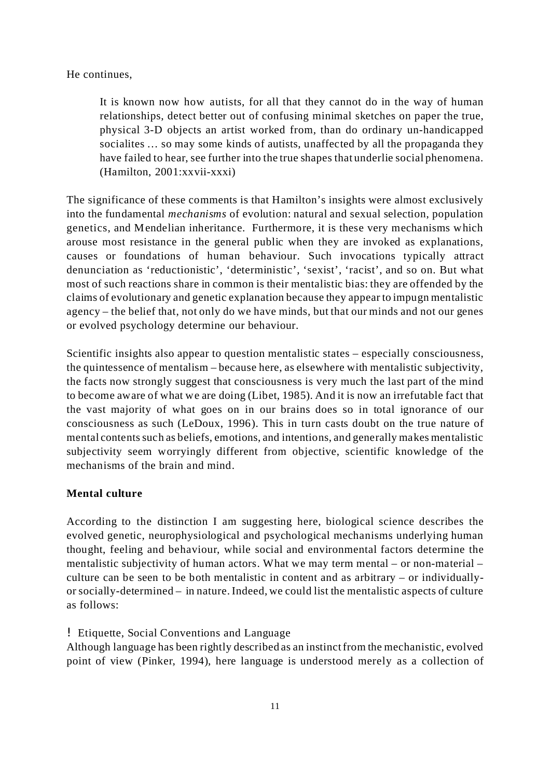# He continues,

It is known now how autists, for all that they cannot do in the way of human relationships, detect better out of confusing minimal sketches on paper the true, physical 3-D objects an artist worked from, than do ordinary un-handicapped socialites … so may some kinds of autists, unaffected by all the propaganda they have failed to hear, see further into the true shapes that underlie social phenomena. (Hamilton, 2001:xxvii-xxxi)

The significance of these comments is that Hamilton's insights were almost exclusively into the fundamental *mechanisms* of evolution: natural and sexual selection, population genetics, and Mendelian inheritance. Furthermore, it is these very mechanisms which arouse most resistance in the general public when they are invoked as explanations, causes or foundations of human behaviour. Such invocations typically attract denunciation as 'reductionistic', 'deterministic', 'sexist', 'racist', and so on. But what most of such reactions share in common is their mentalistic bias: they are offended by the claims of evolutionary and genetic explanation because they appear to impugn mentalistic agency – the belief that, not only do we have minds, but that our minds and not our genes or evolved psychology determine our behaviour.

Scientific insights also appear to question mentalistic states – especially consciousness, the quintessence of mentalism – because here, as elsewhere with mentalistic subjectivity, the facts now strongly suggest that consciousness is very much the last part of the mind to become aware of what we are doing (Libet, 1985). And it is now an irrefutable fact that the vast majority of what goes on in our brains does so in total ignorance of our consciousness as such (LeDoux, 1996). This in turn casts doubt on the true nature of mental contents such as beliefs, emotions, and intentions, and generally makes mentalistic subjectivity seem worryingly different from objective, scientific knowledge of the mechanisms of the brain and mind.

# **Mental culture**

According to the distinction I am suggesting here, biological science describes the evolved genetic, neurophysiological and psychological mechanisms underlying human thought, feeling and behaviour, while social and environmental factors determine the mentalistic subjectivity of human actors. What we may term mental – or non-material – culture can be seen to be both mentalistic in content and as arbitrary – or individuallyor socially-determined – in nature. Indeed, we could list the mentalistic aspects of culture as follows:

## ! Etiquette, Social Conventions and Language

Although language has been rightly described as an instinct from the mechanistic, evolved point of view (Pinker, 1994), here language is understood merely as a collection of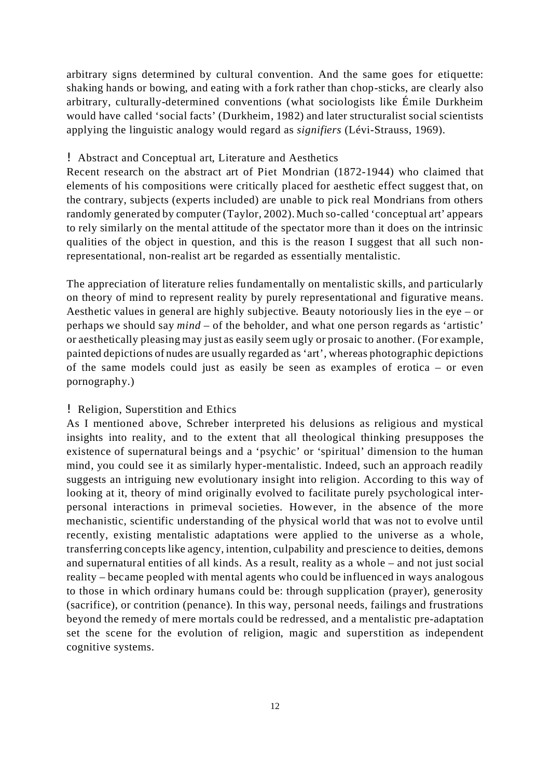arbitrary signs determined by cultural convention. And the same goes for etiquette: shaking hands or bowing, and eating with a fork rather than chop-sticks, are clearly also arbitrary, culturally-determined conventions (what sociologists like Émile Durkheim would have called 'social facts' (Durkheim, 1982) and later structuralist social scientists applying the linguistic analogy would regard as *signifiers* (Lévi-Strauss, 1969).

#### ! Abstract and Conceptual art, Literature and Aesthetics

Recent research on the abstract art of Piet Mondrian (1872-1944) who claimed that elements of his compositions were critically placed for aesthetic effect suggest that, on the contrary, subjects (experts included) are unable to pick real Mondrians from others randomly generated by computer (Taylor, 2002). Much so-called 'conceptual art' appears to rely similarly on the mental attitude of the spectator more than it does on the intrinsic qualities of the object in question, and this is the reason I suggest that all such nonrepresentational, non-realist art be regarded as essentially mentalistic.

The appreciation of literature relies fundamentally on mentalistic skills, and particularly on theory of mind to represent reality by purely representational and figurative means. Aesthetic values in general are highly subjective. Beauty notoriously lies in the eye – or perhaps we should say *mind* – of the beholder, and what one person regards as 'artistic' or aesthetically pleasing may just as easily seem ugly or prosaic to another. (For example, painted depictions of nudes are usually regarded as 'art', whereas photographic depictions of the same models could just as easily be seen as examples of erotica – or even pornography.)

## ! Religion, Superstition and Ethics

As I mentioned above, Schreber interpreted his delusions as religious and mystical insights into reality, and to the extent that all theological thinking presupposes the existence of supernatural beings and a 'psychic' or 'spiritual' dimension to the human mind, you could see it as similarly hyper-mentalistic. Indeed, such an approach readily suggests an intriguing new evolutionary insight into religion. According to this way of looking at it, theory of mind originally evolved to facilitate purely psychological interpersonal interactions in primeval societies. However, in the absence of the more mechanistic, scientific understanding of the physical world that was not to evolve until recently, existing mentalistic adaptations were applied to the universe as a whole, transferring concepts like agency, intention, culpability and prescience to deities, demons and supernatural entities of all kinds. As a result, reality as a whole – and not just social reality – became peopled with mental agents who could be influenced in ways analogous to those in which ordinary humans could be: through supplication (prayer), generosity (sacrifice), or contrition (penance). In this way, personal needs, failings and frustrations beyond the remedy of mere mortals could be redressed, and a mentalistic pre-adaptation set the scene for the evolution of religion, magic and superstition as independent cognitive systems.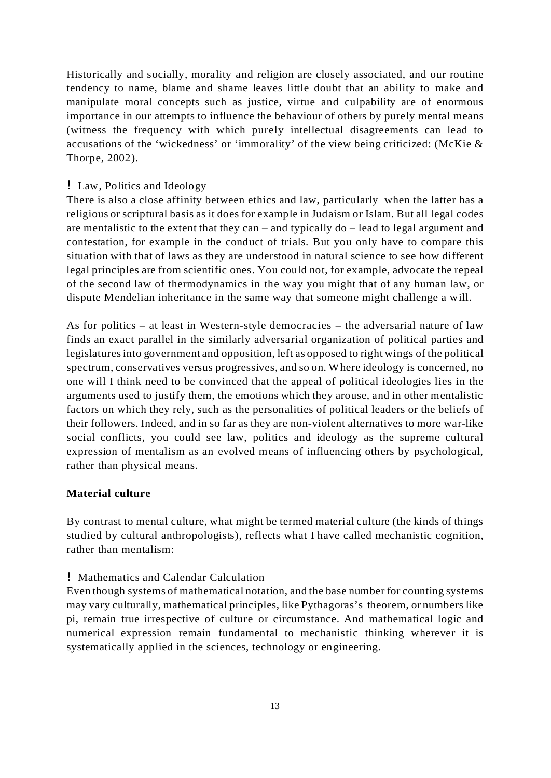Historically and socially, morality and religion are closely associated, and our routine tendency to name, blame and shame leaves little doubt that an ability to make and manipulate moral concepts such as justice, virtue and culpability are of enormous importance in our attempts to influence the behaviour of others by purely mental means (witness the frequency with which purely intellectual disagreements can lead to accusations of the 'wickedness' or 'immorality' of the view being criticized: (McKie & Thorpe, 2002).

## ! Law, Politics and Ideology

There is also a close affinity between ethics and law, particularly when the latter has a religious or scriptural basis as it does for example in Judaism or Islam. But all legal codes are mentalistic to the extent that they can – and typically do – lead to legal argument and contestation, for example in the conduct of trials. But you only have to compare this situation with that of laws as they are understood in natural science to see how different legal principles are from scientific ones. You could not, for example, advocate the repeal of the second law of thermodynamics in the way you might that of any human law, or dispute Mendelian inheritance in the same way that someone might challenge a will.

As for politics – at least in Western-style democracies – the adversarial nature of law finds an exact parallel in the similarly adversarial organization of political parties and legislatures into government and opposition, left as opposed to right wings of the political spectrum, conservatives versus progressives, and so on. Where ideology is concerned, no one will I think need to be convinced that the appeal of political ideologies lies in the arguments used to justify them, the emotions which they arouse, and in other mentalistic factors on which they rely, such as the personalities of political leaders or the beliefs of their followers. Indeed, and in so far as they are non-violent alternatives to more war-like social conflicts, you could see law, politics and ideology as the supreme cultural expression of mentalism as an evolved means of influencing others by psychological, rather than physical means.

## **Material culture**

By contrast to mental culture, what might be termed material culture (the kinds of things studied by cultural anthropologists), reflects what I have called mechanistic cognition, rather than mentalism:

## ! Mathematics and Calendar Calculation

Even though systems of mathematical notation, and the base number for counting systems may vary culturally, mathematical principles, like Pythagoras's theorem, or numbers like pi, remain true irrespective of culture or circumstance. And mathematical logic and numerical expression remain fundamental to mechanistic thinking wherever it is systematically applied in the sciences, technology or engineering.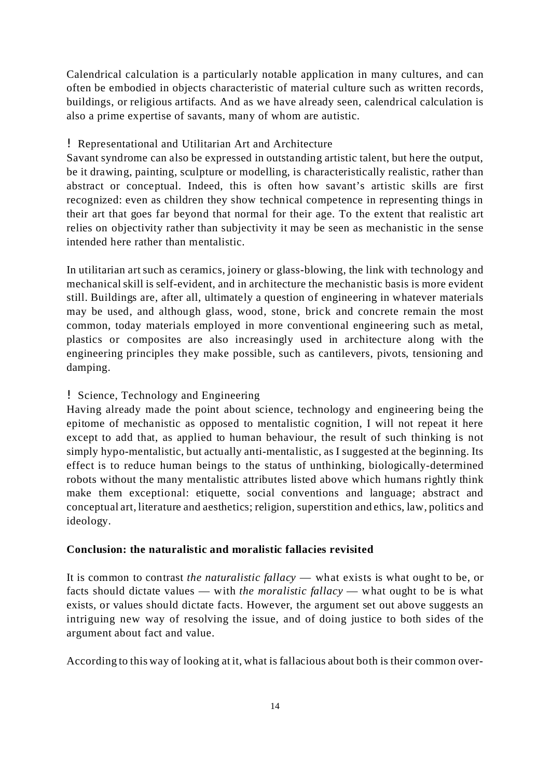Calendrical calculation is a particularly notable application in many cultures, and can often be embodied in objects characteristic of material culture such as written records, buildings, or religious artifacts. And as we have already seen, calendrical calculation is also a prime expertise of savants, many of whom are autistic.

## ! Representational and Utilitarian Art and Architecture

Savant syndrome can also be expressed in outstanding artistic talent, but here the output, be it drawing, painting, sculpture or modelling, is characteristically realistic, rather than abstract or conceptual. Indeed, this is often how savant's artistic skills are first recognized: even as children they show technical competence in representing things in their art that goes far beyond that normal for their age. To the extent that realistic art relies on objectivity rather than subjectivity it may be seen as mechanistic in the sense intended here rather than mentalistic.

In utilitarian art such as ceramics, joinery or glass-blowing, the link with technology and mechanical skill is self-evident, and in architecture the mechanistic basis is more evident still. Buildings are, after all, ultimately a question of engineering in whatever materials may be used, and although glass, wood, stone, brick and concrete remain the most common, today materials employed in more conventional engineering such as metal, plastics or composites are also increasingly used in architecture along with the engineering principles they make possible, such as cantilevers, pivots, tensioning and damping.

## ! Science, Technology and Engineering

Having already made the point about science, technology and engineering being the epitome of mechanistic as opposed to mentalistic cognition, I will not repeat it here except to add that, as applied to human behaviour, the result of such thinking is not simply hypo-mentalistic, but actually anti-mentalistic, as I suggested at the beginning. Its effect is to reduce human beings to the status of unthinking, biologically-determined robots without the many mentalistic attributes listed above which humans rightly think make them exceptional: etiquette, social conventions and language; abstract and conceptual art, literature and aesthetics; religion, superstition and ethics, law, politics and ideology.

## **Conclusion: the naturalistic and moralistic fallacies revisited**

It is common to contrast *the naturalistic fallacy* — what exists is what ought to be, or facts should dictate values — with *the moralistic fallacy* — what ought to be is what exists, or values should dictate facts. However, the argument set out above suggests an intriguing new way of resolving the issue, and of doing justice to both sides of the argument about fact and value.

According to this way of looking at it, what is fallacious about both is their common over-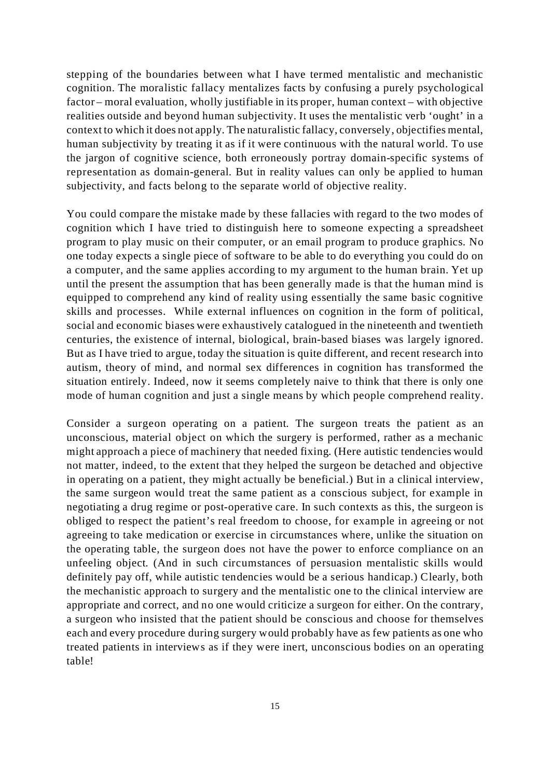stepping of the boundaries between what I have termed mentalistic and mechanistic cognition. The moralistic fallacy mentalizes facts by confusing a purely psychological factor – moral evaluation, wholly justifiable in its proper, human context – with objective realities outside and beyond human subjectivity. It uses the mentalistic verb 'ought' in a context to which it does not apply. The naturalistic fallacy, conversely, objectifies mental, human subjectivity by treating it as if it were continuous with the natural world. To use the jargon of cognitive science, both erroneously portray domain-specific systems of representation as domain-general. But in reality values can only be applied to human subjectivity, and facts belong to the separate world of objective reality.

You could compare the mistake made by these fallacies with regard to the two modes of cognition which I have tried to distinguish here to someone expecting a spreadsheet program to play music on their computer, or an email program to produce graphics. No one today expects a single piece of software to be able to do everything you could do on a computer, and the same applies according to my argument to the human brain. Yet up until the present the assumption that has been generally made is that the human mind is equipped to comprehend any kind of reality using essentially the same basic cognitive skills and processes. While external influences on cognition in the form of political, social and economic biases were exhaustively catalogued in the nineteenth and twentieth centuries, the existence of internal, biological, brain-based biases was largely ignored. But as I have tried to argue, today the situation is quite different, and recent research into autism, theory of mind, and normal sex differences in cognition has transformed the situation entirely. Indeed, now it seems completely naive to think that there is only one mode of human cognition and just a single means by which people comprehend reality.

Consider a surgeon operating on a patient. The surgeon treats the patient as an unconscious, material object on which the surgery is performed, rather as a mechanic might approach a piece of machinery that needed fixing. (Here autistic tendencies would not matter, indeed, to the extent that they helped the surgeon be detached and objective in operating on a patient, they might actually be beneficial.) But in a clinical interview, the same surgeon would treat the same patient as a conscious subject, for example in negotiating a drug regime or post-operative care. In such contexts as this, the surgeon is obliged to respect the patient's real freedom to choose, for example in agreeing or not agreeing to take medication or exercise in circumstances where, unlike the situation on the operating table, the surgeon does not have the power to enforce compliance on an unfeeling object. (And in such circumstances of persuasion mentalistic skills would definitely pay off, while autistic tendencies would be a serious handicap.) Clearly, both the mechanistic approach to surgery and the mentalistic one to the clinical interview are appropriate and correct, and no one would criticize a surgeon for either. On the contrary, a surgeon who insisted that the patient should be conscious and choose for themselves each and every procedure during surgery would probably have as few patients as one who treated patients in interviews as if they were inert, unconscious bodies on an operating table!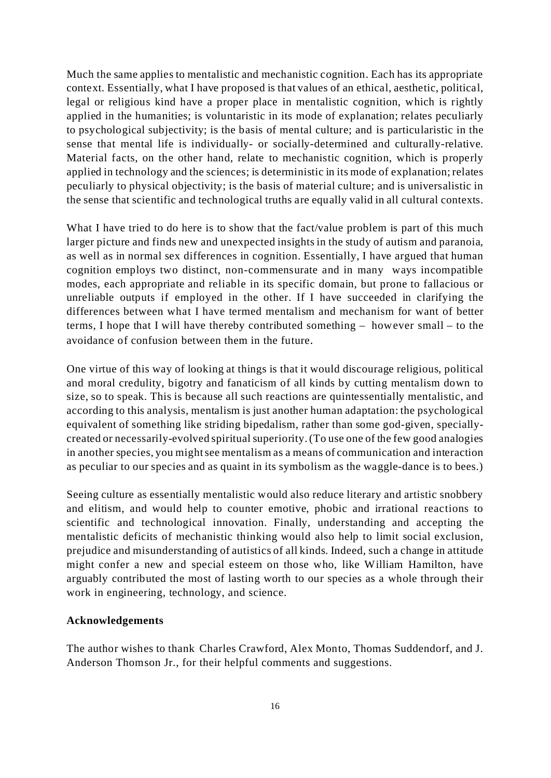Much the same applies to mentalistic and mechanistic cognition. Each has its appropriate context. Essentially, what I have proposed is that values of an ethical, aesthetic, political, legal or religious kind have a proper place in mentalistic cognition, which is rightly applied in the humanities; is voluntaristic in its mode of explanation; relates peculiarly to psychological subjectivity; is the basis of mental culture; and is particularistic in the sense that mental life is individually- or socially-determined and culturally-relative. Material facts, on the other hand, relate to mechanistic cognition, which is properly applied in technology and the sciences; is deterministic in its mode of explanation; relates peculiarly to physical objectivity; is the basis of material culture; and is universalistic in the sense that scientific and technological truths are equally valid in all cultural contexts.

What I have tried to do here is to show that the fact/value problem is part of this much larger picture and finds new and unexpected insights in the study of autism and paranoia, as well as in normal sex differences in cognition. Essentially, I have argued that human cognition employs two distinct, non-commensurate and in many ways incompatible modes, each appropriate and reliable in its specific domain, but prone to fallacious or unreliable outputs if employed in the other. If I have succeeded in clarifying the differences between what I have termed mentalism and mechanism for want of better terms, I hope that I will have thereby contributed something – however small – to the avoidance of confusion between them in the future.

One virtue of this way of looking at things is that it would discourage religious, political and moral credulity, bigotry and fanaticism of all kinds by cutting mentalism down to size, so to speak. This is because all such reactions are quintessentially mentalistic, and according to this analysis, mentalism is just another human adaptation: the psychological equivalent of something like striding bipedalism, rather than some god-given, speciallycreated or necessarily-evolved spiritual superiority. (To use one of the few good analogies in another species, you might see mentalism as a means of communication and interaction as peculiar to our species and as quaint in its symbolism as the waggle-dance is to bees.)

Seeing culture as essentially mentalistic would also reduce literary and artistic snobbery and elitism, and would help to counter emotive, phobic and irrational reactions to scientific and technological innovation. Finally, understanding and accepting the mentalistic deficits of mechanistic thinking would also help to limit social exclusion, prejudice and misunderstanding of autistics of all kinds. Indeed, such a change in attitude might confer a new and special esteem on those who, like William Hamilton, have arguably contributed the most of lasting worth to our species as a whole through their work in engineering, technology, and science.

## **Acknowledgements**

The author wishes to thank Charles Crawford, Alex Monto, Thomas Suddendorf, and J. Anderson Thomson Jr., for their helpful comments and suggestions.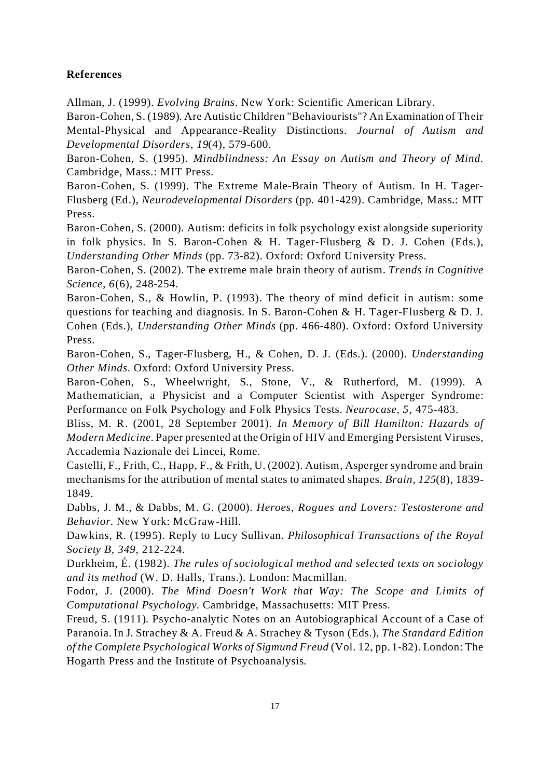# **References**

Allman, J. (1999). *Evolving Brains*. New York: Scientific American Library.

Baron-Cohen, S. (1989). Are Autistic Children "Behaviourists"? An Examination of Their Mental-Physical and Appearance-Reality Distinctions. *Journal of Autism and Developmental Disorders, 19*(4), 579-600.

Baron-Cohen, S. (1995). *Mindblindness: An Essay on Autism and Theory of Mind*. Cambridge, Mass.: MIT Press.

Baron-Cohen, S. (1999). The Extreme Male-Brain Theory of Autism. In H. Tager-Flusberg (Ed.), *Neurodevelopmental Disorders* (pp. 401-429). Cambridge, Mass.: MIT Press.

Baron-Cohen, S. (2000). Autism: deficits in folk psychology exist alongside superiority in folk physics. In S. Baron-Cohen & H. Tager-Flusberg & D. J. Cohen (Eds.), *Understanding Other Minds* (pp. 73-82). Oxford: Oxford University Press.

Baron-Cohen, S. (2002). The extreme male brain theory of autism. *Trends in Cognitive Science, 6*(6), 248-254.

Baron-Cohen, S., & Howlin, P. (1993). The theory of mind deficit in autism: some questions for teaching and diagnosis. In S. Baron-Cohen & H. Tager-Flusberg & D. J. Cohen (Eds.), *Understanding Other Minds* (pp. 466-480). Oxford: Oxford University Press.

Baron-Cohen, S., Tager-Flusberg, H., & Cohen, D. J. (Eds.). (2000). *Understanding Other Minds*. Oxford: Oxford University Press.

Baron-Cohen, S., Wheelwright, S., Stone, V., & Rutherford, M. (1999). A Mathematician, a Physicist and a Computer Scientist with Asperger Syndrome: Performance on Folk Psychology and Folk Physics Tests. *Neurocase, 5*, 475-483.

Bliss, M. R. (2001, 28 September 2001). *In Memory of Bill Hamilton: Hazards of Modern Medicine.* Paper presented at the Origin of HIV and Emerging Persistent Viruses, Accademia Nazionale dei Lincei, Rome.

Castelli, F., Frith, C., Happ, F., & Frith, U. (2002). Autism, Asperger syndrome and brain mechanisms for the attribution of mental states to animated shapes. *Brain, 125*(8), 1839- 1849.

Dabbs, J. M., & Dabbs, M. G. (2000). *Heroes, Rogues and Lovers: Testosterone and Behavior*. New York: McGraw-Hill.

Dawkins, R. (1995). Reply to Lucy Sullivan. *Philosophical Transactions of the Royal Society B, 349*, 212-224.

Durkheim, É. (1982). *The rules of sociological method and selected texts on sociology and its method* (W. D. Halls, Trans.). London: Macmillan.

Fodor, J. (2000). *The Mind Doesn't Work that Way: The Scope and Limits of Computational Psychology*. Cambridge, Massachusetts: MIT Press.

Freud, S. (1911). Psycho-analytic Notes on an Autobiographical Account of a Case of Paranoia. In J. Strachey & A. Freud & A. Strachey & Tyson (Eds.), *The Standard Edition of the Complete Psychological Works of Sigmund Freud* (Vol. 12, pp. 1-82). London: The Hogarth Press and the Institute of Psychoanalysis.